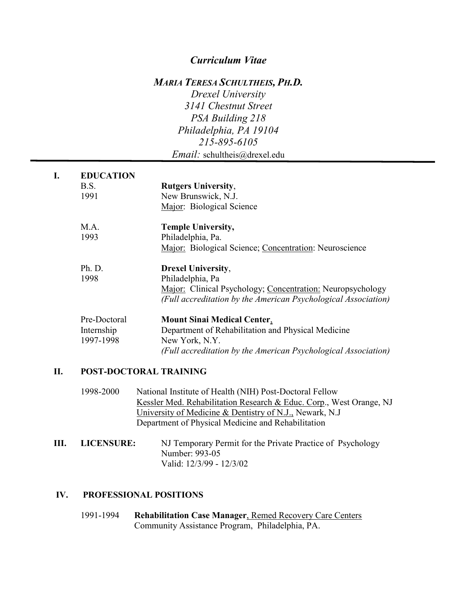## *Curriculum Vitae*

#### *MARIA TERESA SCHULTHEIS, PH.D.*

*Drexel University 3141 Chestnut Street PSA Building 218 Philadelphia, PA 19104 215-895-6105 Email:* schultheis@drexel.edu

| I. | <b>EDUCATION</b>       |                                                                                                                                     |
|----|------------------------|-------------------------------------------------------------------------------------------------------------------------------------|
|    | B.S.                   | <b>Rutgers University,</b>                                                                                                          |
|    | 1991                   | New Brunswick, N.J.                                                                                                                 |
|    |                        | Major: Biological Science                                                                                                           |
|    | M.A.                   | <b>Temple University,</b>                                                                                                           |
|    | 1993                   | Philadelphia, Pa.                                                                                                                   |
|    |                        | Major: Biological Science; Concentration: Neuroscience                                                                              |
|    | Ph. D.                 | <b>Drexel University,</b>                                                                                                           |
|    | 1998                   | Philadelphia, Pa                                                                                                                    |
|    |                        | <b>Major:</b> Clinical Psychology; Concentration: Neuropsychology<br>(Full accreditation by the American Psychological Association) |
|    | Pre-Doctoral           | <b>Mount Sinai Medical Center.</b>                                                                                                  |
|    | Internship             | Department of Rehabilitation and Physical Medicine                                                                                  |
|    | 1997-1998              | New York, N.Y.                                                                                                                      |
|    |                        | (Full accreditation by the American Psychological Association)                                                                      |
| П. | POST-DOCTORAL TRAINING |                                                                                                                                     |

- 1998-2000 National Institute of Health (NIH) Post-Doctoral Fellow Kessler Med. Rehabilitation Research & Educ. Corp., West Orange, NJ University of Medicine & Dentistry of N.J., Newark, N.J Department of Physical Medicine and Rehabilitation
- **III. LICENSURE:** NJ Temporary Permit for the Private Practice of Psychology Number: 993-05 Valid: 12/3/99 - 12/3/02

#### **IV. PROFESSIONAL POSITIONS**

1991-1994 **Rehabilitation Case Manager**, Remed Recovery Care Centers Community Assistance Program, Philadelphia, PA.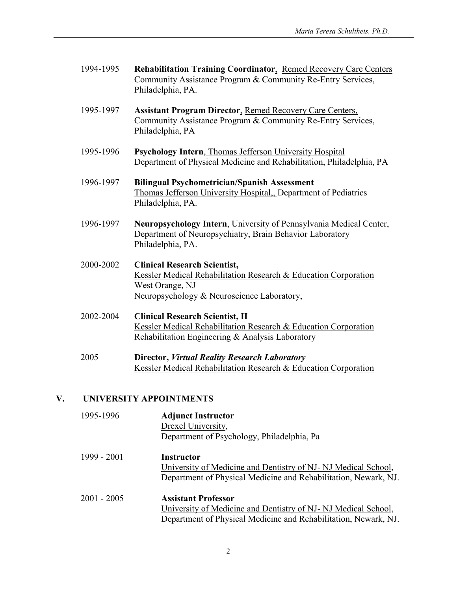| 1994-1995 | <b>Rehabilitation Training Coordinator, Remed Recovery Care Centers</b><br>Community Assistance Program & Community Re-Entry Services,<br>Philadelphia, PA.             |
|-----------|-------------------------------------------------------------------------------------------------------------------------------------------------------------------------|
| 1995-1997 | <b>Assistant Program Director, Remed Recovery Care Centers,</b><br>Community Assistance Program & Community Re-Entry Services,<br>Philadelphia, PA                      |
| 1995-1996 | Psychology Intern, Thomas Jefferson University Hospital<br>Department of Physical Medicine and Rehabilitation, Philadelphia, PA                                         |
| 1996-1997 | <b>Bilingual Psychometrician/Spanish Assessment</b><br>Thomas Jefferson University Hospital,, Department of Pediatrics<br>Philadelphia, PA.                             |
| 1996-1997 | Neuropsychology Intern, University of Pennsylvania Medical Center,<br>Department of Neuropsychiatry, Brain Behavior Laboratory<br>Philadelphia, PA.                     |
| 2000-2002 | <b>Clinical Research Scientist,</b><br>Kessler Medical Rehabilitation Research & Education Corporation<br>West Orange, NJ<br>Neuropsychology & Neuroscience Laboratory, |
| 2002-2004 | <b>Clinical Research Scientist, II</b><br>Kessler Medical Rehabilitation Research & Education Corporation<br>Rehabilitation Engineering & Analysis Laboratory           |
| 2005      | <b>Director, Virtual Reality Research Laboratory</b><br>Kessler Medical Rehabilitation Research & Education Corporation                                                 |

# **V. UNIVERSITY APPOINTMENTS**

| 1995-1996     | <b>Adjunct Instructor</b><br>Drexel University,<br>Department of Psychology, Philadelphia, Pa                                                                  |
|---------------|----------------------------------------------------------------------------------------------------------------------------------------------------------------|
| $1999 - 2001$ | Instructor<br>University of Medicine and Dentistry of NJ-NJ Medical School,<br>Department of Physical Medicine and Rehabilitation, Newark, NJ.                 |
| 2001 - 2005   | <b>Assistant Professor</b><br>University of Medicine and Dentistry of NJ-NJ Medical School,<br>Department of Physical Medicine and Rehabilitation, Newark, NJ. |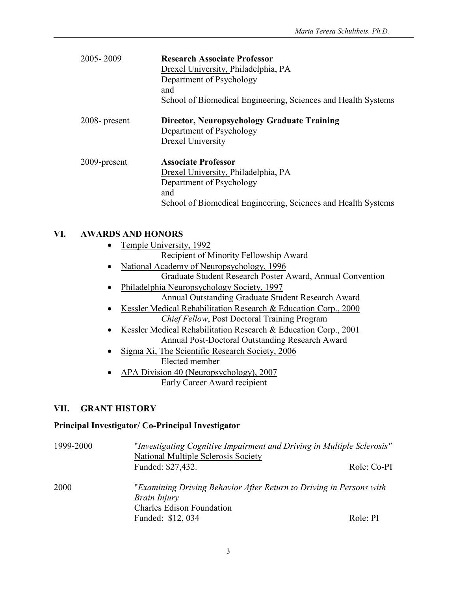| 2005-2009        | <b>Research Associate Professor</b><br>Drexel University, Philadelphia, PA<br>Department of Psychology<br>and<br>School of Biomedical Engineering, Sciences and Health Systems |
|------------------|--------------------------------------------------------------------------------------------------------------------------------------------------------------------------------|
| $2008$ - present | <b>Director, Neuropsychology Graduate Training</b><br>Department of Psychology<br>Drexel University                                                                            |
| 2009-present     | <b>Associate Professor</b><br>Drexel University, Philadelphia, PA<br>Department of Psychology<br>and<br>School of Biomedical Engineering, Sciences and Health Systems          |

## **VI. AWARDS AND HONORS**

- Temple University, 1992
	- Recipient of Minority Fellowship Award
- National Academy of Neuropsychology, 1996 Graduate Student Research Poster Award, Annual Convention
- Philadelphia Neuropsychology Society, 1997 Annual Outstanding Graduate Student Research Award
- Kessler Medical Rehabilitation Research & Education Corp., 2000 *Chief Fellow*, Post Doctoral Training Program
- Kessler Medical Rehabilitation Research & Education Corp., 2001 Annual Post-Doctoral Outstanding Research Award
- Sigma Xi, The Scientific Research Society, 2006 Elected member
- APA Division 40 (Neuropsychology), 2007 Early Career Award recipient

## **VII. GRANT HISTORY**

### **Principal Investigator/ Co-Principal Investigator**

| 1999-2000 | "Investigating Cognitive Impairment and Driving in Multiple Sclerosis"<br>National Multiple Sclerosis Society           |             |
|-----------|-------------------------------------------------------------------------------------------------------------------------|-------------|
|           | Funded: \$27,432.                                                                                                       | Role: Co-PI |
| 2000      | "Examining Driving Behavior After Return to Driving in Persons with<br>Brain Injury<br><b>Charles Edison Foundation</b> |             |
|           | Funded: \$12, 034                                                                                                       | Role: PI    |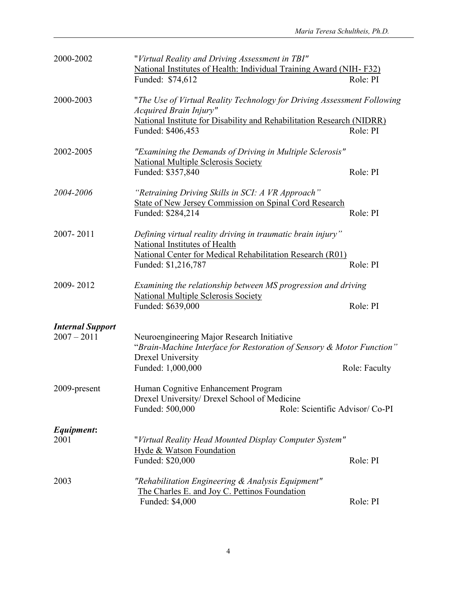| 2000-2002                                | "Virtual Reality and Driving Assessment in TBI"<br>National Institutes of Health: Individual Training Award (NIH-F32)<br>Funded: \$74,612                                                       |                                 | Role: PI      |
|------------------------------------------|-------------------------------------------------------------------------------------------------------------------------------------------------------------------------------------------------|---------------------------------|---------------|
| 2000-2003                                | "The Use of Virtual Reality Technology for Driving Assessment Following<br>Acquired Brain Injury"<br>National Institute for Disability and Rehabilitation Research (NIDRR)<br>Funded: \$406,453 |                                 | Role: PI      |
| 2002-2005                                | "Examining the Demands of Driving in Multiple Sclerosis"<br><b>National Multiple Sclerosis Society</b><br>Funded: \$357,840                                                                     |                                 | Role: PI      |
| 2004-2006                                | "Retraining Driving Skills in SCI: A VR Approach"<br><b>State of New Jersey Commission on Spinal Cord Research</b><br>Funded: \$284,214                                                         |                                 | Role: PI      |
| 2007-2011                                | Defining virtual reality driving in traumatic brain injury"<br>National Institutes of Health<br><b>National Center for Medical Rehabilitation Research (R01)</b><br>Funded: \$1,216,787         |                                 | Role: PI      |
| 2009-2012                                | Examining the relationship between MS progression and driving<br><b>National Multiple Sclerosis Society</b><br>Funded: \$639,000                                                                |                                 | Role: PI      |
| <b>Internal Support</b><br>$2007 - 2011$ | Neuroengineering Major Research Initiative<br>"Brain-Machine Interface for Restoration of Sensory & Motor Function"<br>Drexel University<br>Funded: 1,000,000                                   |                                 | Role: Faculty |
| 2009-present                             | Human Cognitive Enhancement Program<br>Drexel University/ Drexel School of Medicine<br>Funded: 500,000                                                                                          | Role: Scientific Advisor/ Co-PI |               |
| Equipment:<br>2001                       | "Virtual Reality Head Mounted Display Computer System"<br>Hyde & Watson Foundation<br>Funded: \$20,000                                                                                          |                                 | Role: PI      |
| 2003                                     | "Rehabilitation Engineering & Analysis Equipment"<br>The Charles E. and Joy C. Pettinos Foundation<br>Funded: \$4,000                                                                           |                                 | Role: PI      |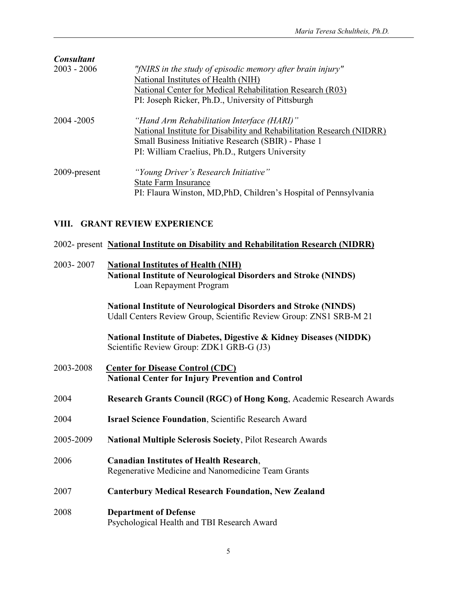| <b>Consultant</b> |                                                                       |
|-------------------|-----------------------------------------------------------------------|
| $2003 - 2006$     | "fNIRS in the study of episodic memory after brain injury"            |
|                   | National Institutes of Health (NIH)                                   |
|                   | National Center for Medical Rehabilitation Research (R03)             |
|                   | PI: Joseph Ricker, Ph.D., University of Pittsburgh                    |
| 2004 - 2005       | "Hand Arm Rehabilitation Interface (HARI)"                            |
|                   | National Institute for Disability and Rehabilitation Research (NIDRR) |
|                   | Small Business Initiative Research (SBIR) - Phase 1                   |
|                   | PI: William Craelius, Ph.D., Rutgers University                       |
| 2009-present      | "Young Driver's Research Initiative"                                  |
|                   | <b>State Farm Insurance</b>                                           |
|                   | PI: Flaura Winston, MD, PhD, Children's Hospital of Pennsylvania      |
|                   |                                                                       |

## **VIII. GRANT REVIEW EXPERIENCE**

#### 2002- present **National Institute on Disability and Rehabilitation Research (NIDRR)**

### 2003- 2007 **National Institutes of Health (NIH) National Institute of Neurological Disorders and Stroke (NINDS)** Loan Repayment Program

**National Institute of Neurological Disorders and Stroke (NINDS)** Udall Centers Review Group, Scientific Review Group: ZNS1 SRB-M 21

**National Institute of Diabetes, Digestive & Kidney Diseases (NIDDK)** Scientific Review Group: ZDK1 GRB-G (J3)

2003-2008 **Center for Disease Control (CDC) National Center for Injury Prevention and Control** 2004 **Research Grants Council (RGC) of Hong Kong**, Academic Research Awards 2004 **Israel Science Foundation**, Scientific Research Award 2005-2009 **National Multiple Sclerosis Society**, Pilot Research Awards 2006 **Canadian Institutes of Health Research**, Regenerative Medicine and Nanomedicine Team Grants 2007 **Canterbury Medical Research Foundation, New Zealand** 2008 **Department of Defense** Psychological Health and TBI Research Award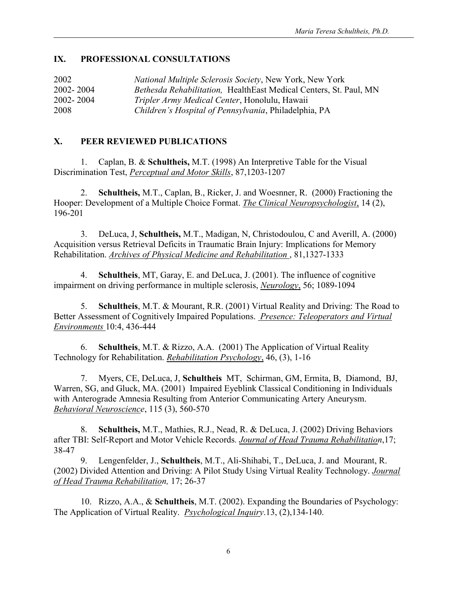### **IX. PROFESSIONAL CONSULTATIONS**

| 2002      | <i>National Multiple Sclerosis Society, New York, New York</i>    |
|-----------|-------------------------------------------------------------------|
| 2002-2004 | Bethesda Rehabilitation, HealthEast Medical Centers, St. Paul, MN |
| 2002-2004 | Tripler Army Medical Center, Honolulu, Hawaii                     |
| 2008      | Children's Hospital of Pennsylvania, Philadelphia, PA             |

## **X. PEER REVIEWED PUBLICATIONS**

1. Caplan, B. & **Schultheis,** M.T. (1998) An Interpretive Table for the Visual Discrimination Test, *Perceptual and Motor Skills*, 87,1203-1207

2. **Schultheis,** M.T., Caplan, B., Ricker, J. and Woesnner, R. (2000) Fractioning the Hooper: Development of a Multiple Choice Format. *The Clinical Neuropsychologist*, 14 (2), 196-201

3. DeLuca, J, **Schultheis,** M.T., Madigan, N, Christodoulou, C and Averill, A. (2000) Acquisition versus Retrieval Deficits in Traumatic Brain Injury: Implications for Memory Rehabilitation. *Archives of Physical Medicine and Rehabilitation* , 81,1327-1333

4. **Schultheis**, MT, Garay, E. and DeLuca, J. (2001). The influence of cognitive impairment on driving performance in multiple sclerosis, *Neurology*, 56; 1089-1094

5. **Schultheis**, M.T. & Mourant, R.R. (2001) Virtual Reality and Driving: The Road to Better Assessment of Cognitively Impaired Populations. *Presence: Teleoperators and Virtual Environments* 10:4, 436-444

6. **Schultheis**, M.T. & Rizzo, A.A. (2001) The Application of Virtual Reality Technology for Rehabilitation. *Rehabilitation Psychology*, 46, (3), 1-16

7. Myers, CE, DeLuca, J, **Schultheis** MT, Schirman, GM, Ermita, B, Diamond, BJ, Warren, SG, and Gluck, MA. (2001) Impaired Eyeblink Classical Conditioning in Individuals with Anterograde Amnesia Resulting from Anterior Communicating Artery Aneurysm. *Behavioral Neuroscience*, 115 (3), 560-570

8. **Schultheis,** M.T., Mathies, R.J., Nead, R. & DeLuca, J. (2002) Driving Behaviors after TBI: Self-Report and Motor Vehicle Records*. Journal of Head Trauma Rehabilitation*,17; 38-47

9. Lengenfelder, J., **Schultheis**, M.T., Ali-Shihabi, T., DeLuca, J. and Mourant, R. (2002) Divided Attention and Driving: A Pilot Study Using Virtual Reality Technology. *Journal of Head Trauma Rehabilitation,* 17; 26-37

10. Rizzo, A.A., & **Schultheis**, M.T. (2002). Expanding the Boundaries of Psychology: The Application of Virtual Reality. *Psychological Inquiry*.13, (2),134-140.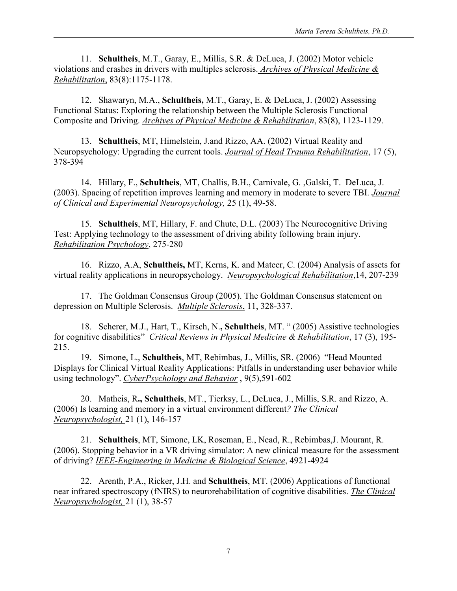11. **Schultheis**, M.T., Garay, E., Millis, S.R. & DeLuca, J. (2002) Motor vehicle violations and crashes in drivers with multiples sclerosis. *Archives of Physical Medicine & Rehabilitation*, 83(8):1175-1178.

12. Shawaryn, M.A., **Schultheis,** M.T., Garay, E. & DeLuca, J. (2002) Assessing Functional Status: Exploring the relationship between the Multiple Sclerosis Functional Composite and Driving. *Archives of Physical Medicine & Rehabilitation*, 83(8), 1123-1129.

13. **Schultheis**, MT, Himelstein, J.and Rizzo, AA. (2002) Virtual Reality and Neuropsychology: Upgrading the current tools. *Journal of Head Trauma Rehabilitation*, 17 (5), 378-394

14. Hillary, F., **Schultheis**, MT, Challis, B.H., Carnivale, G. ,Galski, T. DeLuca, J. (2003). Spacing of repetition improves learning and memory in moderate to severe TBI. *Journal of Clinical and Experimental Neuropsychology,* 25 (1), 49-58.

15. **Schultheis**, MT, Hillary, F. and Chute, D.L. (2003) The Neurocognitive Driving Test: Applying technology to the assessment of driving ability following brain injury. *Rehabilitation Psychology*, 275-280

16. Rizzo, A.A, **Schultheis,** MT, Kerns, K. and Mateer, C. (2004) Analysis of assets for virtual reality applications in neuropsychology. *Neuropsychological Rehabilitation*,14, 207-239

17. The Goldman Consensus Group (2005). The Goldman Consensus statement on depression on Multiple Sclerosis. *Multiple Sclerosis*, 11, 328-337.

18. Scherer, M.J., Hart, T., Kirsch, N.**, Schultheis**, MT. " (2005) Assistive technologies for cognitive disabilities" *Critical Reviews in Physical Medicine & Rehabilitation*, 17 (3), 195- 215.

19. Simone, L., **Schultheis**, MT, Rebimbas, J., Millis, SR. (2006) "Head Mounted Displays for Clinical Virtual Reality Applications: Pitfalls in understanding user behavior while using technology". *CyberPsychology and Behavior* , 9(5),591-602

20. Matheis, R**., Schultheis**, MT., Tierksy, L., DeLuca, J., Millis, S.R. and Rizzo, A. (2006) Is learning and memory in a virtual environment different*? The Clinical Neuropsychologist,* 21 (1), 146-157

21. **Schultheis**, MT, Simone, LK, Roseman, E., Nead, R., Rebimbas,J. Mourant, R. (2006). Stopping behavior in a VR driving simulator: A new clinical measure for the assessment of driving? *IEEE-Engineering in Medicine & Biological Science*, 4921-4924

22. Arenth, P.A., Ricker, J.H. and **Schultheis**, MT. (2006) Applications of functional near infrared spectroscopy (fNIRS) to neurorehabilitation of cognitive disabilities. *The Clinical Neuropsychologist,* 21 (1), 38-57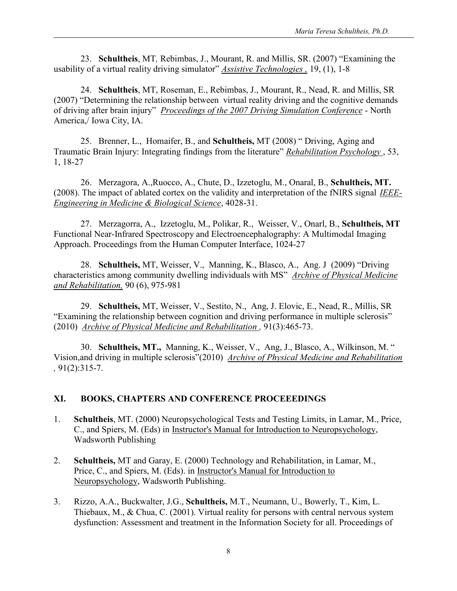23. **Schultheis**, MT*,* Rebimbas, J., Mourant, R. and Millis, SR. (2007) "Examining the usability of a virtual reality driving simulator" *Assistive Technologies ,* 19, (1), 1-8

24. **Schultheis**, MT, Roseman, E., Rebimbas, J., Mourant, R., Nead, R. and Millis, SR (2007) "Determining the relationship between virtual reality driving and the cognitive demands of driving after brain injury" *Proceedings of the 2007 Driving Simulation Conference* - North America,/ Iowa City, IA.

25. Brenner, L., Homaifer, B., and **Schultheis,** MT (2008) " Driving, Aging and Traumatic Brain Injury: Integrating findings from the literature" *Rehabilitation Psychology* , 53, 1, 18-27

26. Merzagora, A.,Ruocco, A., Chute, D., Izzetoglu, M., Onaral, B., **Schultheis, MT.** (2008). The impact of ablated cortex on the validity and interpretation of the fNIRS signal *IEEE-Engineering in Medicine & Biological Science*, 4028-31.

27. Merzagorra, A., Izzetoglu, M., Polikar, R., Weisser, V., Onarl, B., **Schultheis, MT** Functional Near-Infrared Spectroscopy and Electroencephalography: A Multimodal Imaging Approach. Proceedings from the Human Computer Interface, 1024-27

28. **Schultheis,** MT, Weisser, V., Manning, K., Blasco, A., Ang. J (2009) "Driving characteristics among community dwelling individuals with MS" *Archive of Physical Medicine and Rehabilitation,* 90 (6), 975-981

29. **Schultheis,** MT, Weisser, V., Sestito, N., Ang, J. Elovic, E., Nead, R., Millis, SR "Examining the relationship between cognition and driving performance in multiple sclerosis" (2010) *Archive of Physical Medicine and Rehabilitation ,* 91(3):465-73.

30. **Schultheis, MT.,** Manning, K., Weisser, V., Ang, J., Blasco, A., Wilkinson, M. " Vision,and driving in multiple sclerosis"(2010) *Archive of Physical Medicine and Rehabilitation ,* 91(2):315-7.

### **XI. BOOKS, CHAPTERS AND CONFERENCE PROCEEEDINGS**

- 1. **Schultheis**, MT. (2000) Neuropsychological Tests and Testing Limits, in Lamar, M., Price, C., and Spiers, M. (Eds) in Instructor's Manual for Introduction to Neuropsychology, Wadsworth Publishing
- 2. **Schultheis,** MT and Garay, E. (2000) Technology and Rehabilitation, in Lamar, M., Price, C., and Spiers, M. (Eds). in Instructor's Manual for Introduction to Neuropsychology, Wadsworth Publishing.
- 3. Rizzo, A.A., Buckwalter, J.G., **Schultheis,** M.T., Neumann, U., Bowerly, T., Kim, L. Thiebaux, M., & Chua, C. (2001). Virtual reality for persons with central nervous system dysfunction: Assessment and treatment in the Information Society for all. Proceedings of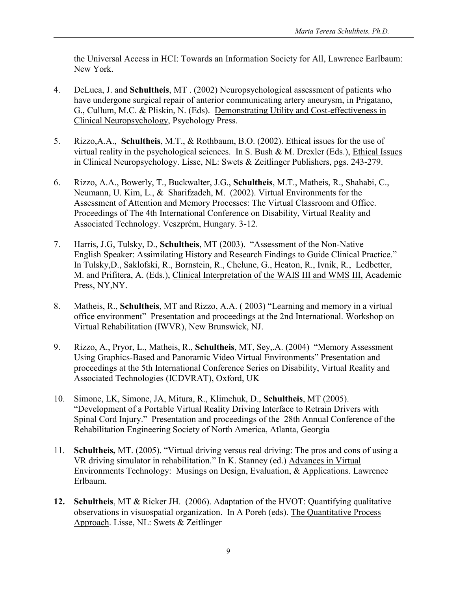the Universal Access in HCI: Towards an Information Society for All, Lawrence Earlbaum: New York.

- 4. DeLuca, J. and **Schultheis**, MT . (2002) Neuropsychological assessment of patients who have undergone surgical repair of anterior communicating artery aneurysm, in Prigatano, G., Cullum, M.C. & Pliskin, N. (Eds). Demonstrating Utility and Cost-effectiveness in Clinical Neuropsychology, Psychology Press.
- 5. Rizzo,A.A., **Schultheis**, M.T., & Rothbaum, B.O. (2002). Ethical issues for the use of virtual reality in the psychological sciences. In S. Bush & M. Drexler (Eds.), Ethical Issues in Clinical Neuropsychology. Lisse, NL: Swets & Zeitlinger Publishers, pgs. 243-279.
- 6. Rizzo, A.A., Bowerly, T., Buckwalter, J.G., **Schultheis**, M.T., Matheis, R., Shahabi, C., Neumann, U. Kim, L., & Sharifzadeh, M. (2002). Virtual Environments for the Assessment of Attention and Memory Processes: The Virtual Classroom and Office. Proceedings of The 4th International Conference on Disability, Virtual Reality and Associated Technology. Veszprém, Hungary. 3-12.
- 7. Harris, J.G, Tulsky, D., **Schultheis**, MT (2003). "Assessment of the Non-Native English Speaker: Assimilating History and Research Findings to Guide Clinical Practice." In Tulsky,D., Saklofski, R., Bornstein, R., Chelune, G., Heaton, R., Ivnik, R., Ledbetter, M. and Prifitera, A. (Eds.), Clinical Interpretation of the WAIS III and WMS III, Academic Press, NY,NY.
- 8. Matheis, R., **Schultheis**, MT and Rizzo, A.A. ( 2003) "Learning and memory in a virtual office environment" Presentation and proceedings at the 2nd International. Workshop on Virtual Rehabilitation (IWVR), New Brunswick, NJ.
- 9. Rizzo, A., Pryor, L., Matheis, R., **Schultheis**, MT, Sey,.A. (2004) "Memory Assessment Using Graphics-Based and Panoramic Video Virtual Environments" Presentation and proceedings at the 5th International Conference Series on Disability, Virtual Reality and Associated Technologies (ICDVRAT), Oxford, UK
- 10. Simone, LK, Simone, JA, Mitura, R., Klimchuk, D., **Schultheis**, MT (2005). "Development of a Portable Virtual Reality Driving Interface to Retrain Drivers with Spinal Cord Injury." Presentation and proceedings of the 28th Annual Conference of the Rehabilitation Engineering Society of North America, Atlanta, Georgia
- 11. **Schultheis,** MT. (2005). "Virtual driving versus real driving: The pros and cons of using a VR driving simulator in rehabilitation." In K. Stanney (ed.) Advances in Virtual Environments Technology: Musings on Design, Evaluation, & Applications. Lawrence Erlbaum.
- **12. Schultheis**, MT & Ricker JH. (2006). Adaptation of the HVOT: Quantifying qualitative observations in visuospatial organization. In A Poreh (eds). The Quantitative Process Approach. Lisse, NL: Swets & Zeitlinger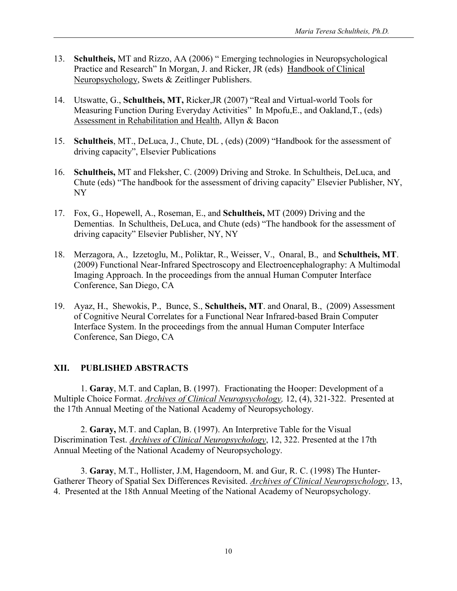- 13. **Schultheis,** MT and Rizzo, AA (2006) " Emerging technologies in Neuropsychological Practice and Research" In Morgan, J. and Ricker, JR (eds) Handbook of Clinical Neuropsychology, Swets & Zeitlinger Publishers.
- 14. Utswatte, G., **Schultheis, MT,** Ricker,JR (2007) "Real and Virtual-world Tools for Measuring Function During Everyday Activities" In Mpofu,E., and Oakland,T., (eds) Assessment in Rehabilitation and Health, Allyn & Bacon
- 15. **Schultheis**, MT., DeLuca, J., Chute, DL , (eds) (2009) "Handbook for the assessment of driving capacity", Elsevier Publications
- 16. **Schultheis,** MT and Fleksher, C. (2009) Driving and Stroke. In Schultheis, DeLuca, and Chute (eds) "The handbook for the assessment of driving capacity" Elsevier Publisher, NY, NY
- 17. Fox, G., Hopewell, A., Roseman, E., and **Schultheis,** MT (2009) Driving and the Dementias. In Schultheis, DeLuca, and Chute (eds) "The handbook for the assessment of driving capacity" Elsevier Publisher, NY, NY
- 18. Merzagora, A., Izzetoglu, M., Poliktar, R., Weisser, V., Onaral, B., and **Schultheis, MT**. (2009) Functional Near-Infrared Spectroscopy and Electroencephalography: A Multimodal Imaging Approach. In the proceedings from the annual Human Computer Interface Conference, San Diego, CA
- 19. Ayaz, H., Shewokis, P., Bunce, S., **Schultheis, MT**. and Onaral, B., (2009) Assessment of Cognitive Neural Correlates for a Functional Near Infrared-based Brain Computer Interface System. In the proceedings from the annual Human Computer Interface Conference, San Diego, CA

### **XII. PUBLISHED ABSTRACTS**

1. **Garay**, M.T. and Caplan, B. (1997). Fractionating the Hooper: Development of a Multiple Choice Format. *Archives of Clinical Neuropsychology,* 12, (4), 321-322. Presented at the 17th Annual Meeting of the National Academy of Neuropsychology.

2. **Garay,** M.T. and Caplan, B. (1997). An Interpretive Table for the Visual Discrimination Test. *Archives of Clinical Neuropsychology*, 12, 322. Presented at the 17th Annual Meeting of the National Academy of Neuropsychology.

3. **Garay**, M.T., Hollister, J.M, Hagendoorn, M. and Gur, R. C. (1998) The Hunter-Gatherer Theory of Spatial Sex Differences Revisited. *Archives of Clinical Neuropsychology*, 13, 4. Presented at the 18th Annual Meeting of the National Academy of Neuropsychology.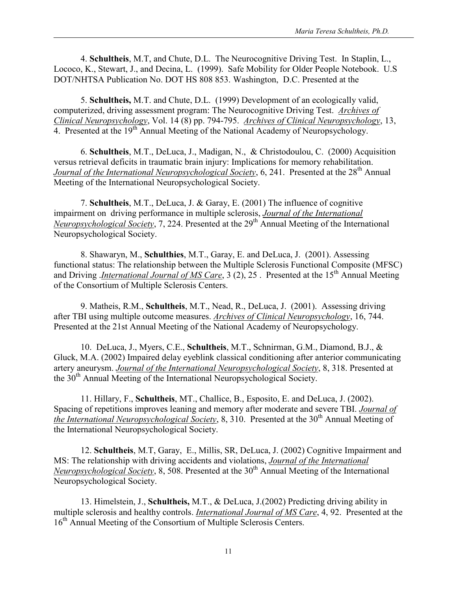4. **Schultheis**, M.T, and Chute, D.L. The Neurocognitive Driving Test. In Staplin, L., Lococo, K., Stewart, J., and Decina, L. (1999). Safe Mobility for Older People Notebook. U.S DOT/NHTSA Publication No. DOT HS 808 853. Washington, D.C. Presented at the

5. **Schultheis,** M.T. and Chute, D.L. (1999) Development of an ecologically valid, computerized, driving assessment program: The Neurocognitive Driving Test. *Archives of Clinical Neuropsychology*, Vol. 14 (8) pp. 794-795. *Archives of Clinical Neuropsychology*, 13, 4. Presented at the 19<sup>th</sup> Annual Meeting of the National Academy of Neuropsychology.

6. **Schultheis**, M.T., DeLuca, J., Madigan, N., & Christodoulou, C. (2000) Acquisition versus retrieval deficits in traumatic brain injury: Implications for memory rehabilitation. *Journal of the International Neuropsychological Society*, 6, 241. Presented at the 28<sup>th</sup> Annual Meeting of the International Neuropsychological Society.

7. **Schultheis**, M.T., DeLuca, J. & Garay, E. (2001) The influence of cognitive impairment on driving performance in multiple sclerosis, *Journal of the International Neuropsychological Society*, 7, 224. Presented at the 29<sup>th</sup> Annual Meeting of the International Neuropsychological Society.

8. Shawaryn, M., **Schulthies**, M.T., Garay, E. and DeLuca, J. (2001). Assessing functional status: The relationship between the Multiple Sclerosis Functional Composite (MFSC) and Driving *International Journal of MS Care*, 3 (2), 25 . Presented at the 15<sup>th</sup> Annual Meeting of the Consortium of Multiple Sclerosis Centers.

9. Matheis, R.M., **Schultheis**, M.T., Nead, R., DeLuca, J. (2001). Assessing driving after TBI using multiple outcome measures. *Archives of Clinical Neuropsychology*, 16, 744. Presented at the 21st Annual Meeting of the National Academy of Neuropsychology.

10. DeLuca, J., Myers, C.E., **Schultheis**, M.T., Schnirman, G.M., Diamond, B.J., & Gluck, M.A. (2002) Impaired delay eyeblink classical conditioning after anterior communicating artery aneurysm. *Journal of the International Neuropsychological Society*, 8, 318. Presented at the  $30<sup>th</sup>$  Annual Meeting of the International Neuropsychological Society.

11. Hillary, F., **Schultheis**, MT., Challice, B., Esposito, E. and DeLuca, J. (2002). Spacing of repetitions improves leaning and memory after moderate and severe TBI. *Journal of the International Neuropsychological Society*, 8, 310. Presented at the 30<sup>th</sup> Annual Meeting of the International Neuropsychological Society.

12. **Schultheis**, M.T, Garay, E., Millis, SR, DeLuca, J. (2002) Cognitive Impairment and MS: The relationship with driving accidents and violations, *Journal of the International Neuropsychological Society*, 8, 508. Presented at the 30<sup>th</sup> Annual Meeting of the International Neuropsychological Society.

13. Himelstein, J., **Schultheis,** M.T., & DeLuca, J.(2002) Predicting driving ability in multiple sclerosis and healthy controls. *International Journal of MS Care*, 4, 92. Presented at the 16<sup>th</sup> Annual Meeting of the Consortium of Multiple Sclerosis Centers.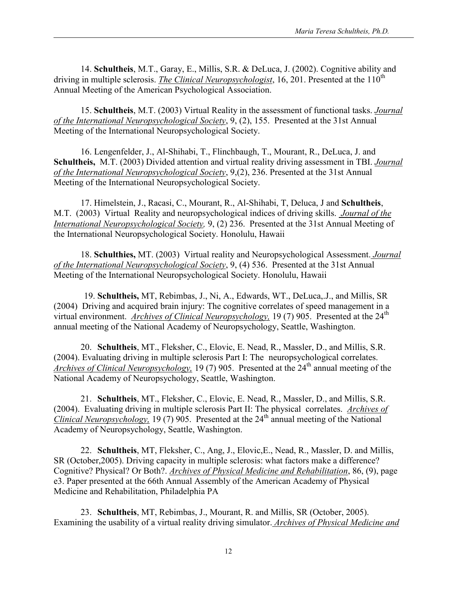14. **Schultheis**, M.T., Garay, E., Millis, S.R. & DeLuca, J. (2002). Cognitive ability and driving in multiple sclerosis. *The Clinical Neuropsychologist*, 16, 201. Presented at the 110<sup>th</sup> Annual Meeting of the American Psychological Association.

15. **Schultheis**, M.T. (2003) Virtual Reality in the assessment of functional tasks. *Journal of the International Neuropsychological Society*, 9, (2), 155. Presented at the 31st Annual Meeting of the International Neuropsychological Society.

16. Lengenfelder, J., Al-Shihabi, T., Flinchbaugh, T., Mourant, R., DeLuca, J. and **Schultheis,** M.T. (2003) Divided attention and virtual reality driving assessment in TBI. *Journal of the International Neuropsychological Society*, 9,(2), 236. Presented at the 31st Annual Meeting of the International Neuropsychological Society.

17. Himelstein, J., Racasi, C., Mourant, R., Al-Shihabi, T, Deluca, J and **Schultheis**, M.T. (2003) Virtual Reality and neuropsychological indices of driving skills. *Journal of the International Neuropsychological Society,* 9, (2) 236. Presented at the 31st Annual Meeting of the International Neuropsychological Society. Honolulu, Hawaii

18. **Schulthies,** MT. (2003) Virtual reality and Neuropsychological Assessment. *Journal of the International Neuropsychological Society*, 9, (4) 536. Presented at the 31st Annual Meeting of the International Neuropsychological Society. Honolulu, Hawaii

19. **Schultheis,** MT, Rebimbas, J., Ni, A., Edwards, WT., DeLuca,.J., and Millis, SR (2004) Driving and acquired brain injury: The cognitive correlates of speed management in a virtual environment. *Archives of Clinical Neuropsychology*, 19 (7) 905. Presented at the 24<sup>th</sup> annual meeting of the National Academy of Neuropsychology, Seattle, Washington.

20. **Schultheis**, MT., Fleksher, C., Elovic, E. Nead, R., Massler, D., and Millis, S.R. (2004). Evaluating driving in multiple sclerosis Part I: The neuropsychological correlates. *Archives of Clinical Neuropsychology,* 19 (7) 905. Presented at the 24<sup>th</sup> annual meeting of the National Academy of Neuropsychology, Seattle, Washington.

21. **Schultheis**, MT., Fleksher, C., Elovic, E. Nead, R., Massler, D., and Millis, S.R. (2004). Evaluating driving in multiple sclerosis Part II: The physical correlates. *Archives of Clinical Neuropsychology,* 19 (7) 905. Presented at the  $24<sup>th</sup>$  annual meeting of the National Academy of Neuropsychology, Seattle, Washington.

22. **Schultheis**, MT, Fleksher, C., Ang, J., Elovic,E., Nead, R., Massler, D. and Millis, SR (October,2005). Driving capacity in multiple sclerosis: what factors make a difference? Cognitive? Physical? Or Both?. *Archives of Physical Medicine and Rehabilitation*, 86, (9), page e3. Paper presented at the 66th Annual Assembly of the American Academy of Physical Medicine and Rehabilitation, Philadelphia PA

23. **Schultheis**, MT, Rebimbas, J., Mourant, R. and Millis, SR (October, 2005). Examining the usability of a virtual reality driving simulator. *Archives of Physical Medicine and*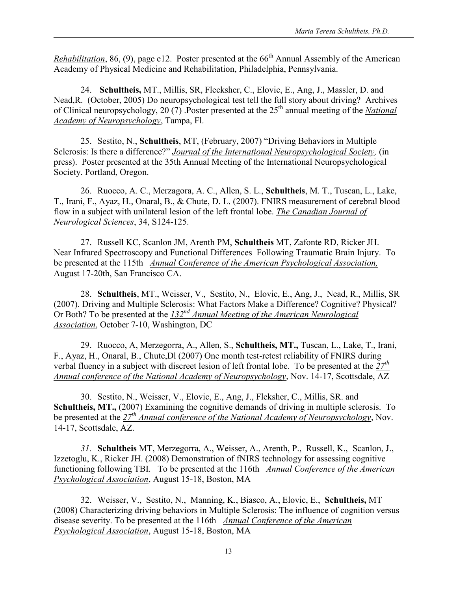*Rehabilitation*, 86, (9), page e12. Poster presented at the  $66<sup>th</sup>$  Annual Assembly of the American Academy of Physical Medicine and Rehabilitation, Philadelphia, Pennsylvania.

24. **Schultheis,** MT., Millis, SR, Flecksher, C., Elovic, E., Ang, J., Massler, D. and Nead,R. (October, 2005) Do neuropsychological test tell the full story about driving? Archives of Clinical neuropsychology, 20 (7) .Poster presented at the 25<sup>th</sup> annual meeting of the *National Academy of Neuropsychology*, Tampa, Fl.

25. Sestito, N., **Schultheis**, MT, (February, 2007) "Driving Behaviors in Multiple Sclerosis: Is there a difference?" *Journal of the International Neuropsychological Society,* (in press). Poster presented at the 35th Annual Meeting of the International Neuropsychological Society. Portland, Oregon.

26. Ruocco, A. C., Merzagora, A. C., Allen, S. L., **Schultheis**, M. T., Tuscan, L., Lake, T., Irani, F., Ayaz, H., Onaral, B., & Chute, D. L. (2007). FNIRS measurement of cerebral blood flow in a subject with unilateral lesion of the left frontal lobe. *The Canadian Journal of Neurological Sciences*, 34, S124-125.

27. Russell KC, Scanlon JM, Arenth PM, **Schultheis** MT, Zafonte RD, Ricker JH. Near Infrared Spectroscopy and Functional Differences Following Traumatic Brain Injury. To be presented at the 115th *Annual Conference of the American Psychological Association,*  August 17-20th, San Francisco CA.

28. **Schultheis**, MT., Weisser, V., Sestito, N., Elovic, E., Ang, J., Nead, R., Millis, SR (2007). Driving and Multiple Sclerosis: What Factors Make a Difference? Cognitive? Physical? Or Both? To be presented at the *132nd Annual Meeting of the American Neurological Association*, October 7-10, Washington, DC

29. Ruocco, A, Merzegorra, A., Allen, S., **Schultheis, MT.,** Tuscan, L., Lake, T., Irani, F., Ayaz, H., Onaral, B., Chute,Dl (2007) One month test-retest reliability of FNIRS during verbal fluency in a subject with discreet lesion of left frontal lobe. To be presented at the *27th Annual conference of the National Academy of Neuropsychology*, Nov. 14-17, Scottsdale, AZ

30. Sestito, N., Weisser, V., Elovic, E., Ang, J., Fleksher, C., Millis, SR. and **Schultheis, MT.,** (2007) Examining the cognitive demands of driving in multiple sclerosis. To be presented at the *27th Annual conference of the National Academy of Neuropsychology*, Nov. 14-17, Scottsdale, AZ.

*31.* **Schultheis** MT, Merzegorra, A., Weisser, A., Arenth, P., Russell, K., Scanlon, J., Izzetoglu, K., Ricker JH. (2008) Demonstration of fNIRS technology for assessing cognitive functioning following TBI. To be presented at the 116th *Annual Conference of the American Psychological Association*, August 15-18, Boston, MA

32. Weisser, V., Sestito, N., Manning, K., Biasco, A., Elovic, E., **Schultheis,** MT (2008) Characterizing driving behaviors in Multiple Sclerosis: The influence of cognition versus disease severity. To be presented at the 116th *Annual Conference of the American Psychological Association*, August 15-18, Boston, MA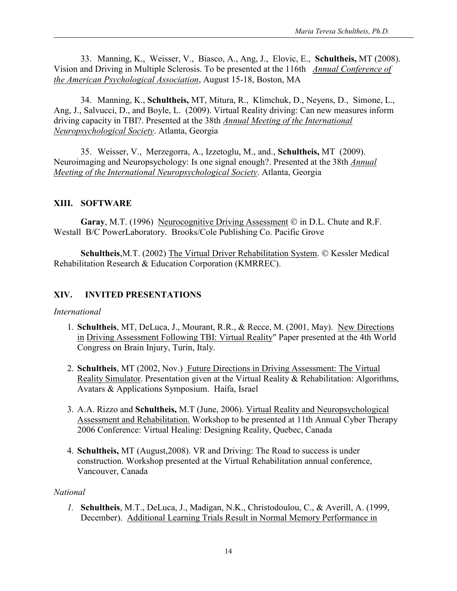33. Manning, K., Weisser, V., Biasco, A., Ang, J., Elovic, E., **Schultheis,** MT (2008). Vision and Driving in Multiple Sclerosis. To be presented at the 116th *Annual Conference of the American Psychological Association*, August 15-18, Boston, MA

34. Manning, K., **Schultheis,** MT, Mitura, R., Klimchuk, D., Neyens, D., Simone, L., Ang, J., Salvucci, D., and Boyle, L. (2009). Virtual Reality driving: Can new measures inform driving capacity in TBI?. Presented at the 38th *Annual Meeting of the International Neuropsychological Society*. Atlanta, Georgia

35. Weisser, V., Merzegorra, A., Izzetoglu, M., and., **Schultheis,** MT (2009). Neuroimaging and Neuropsychology: Is one signal enough?. Presented at the 38th *Annual Meeting of the International Neuropsychological Society*. Atlanta, Georgia

#### **XIII. SOFTWARE**

**Garay**, M.T. (1996) Neurocognitive Driving Assessment © in D.L. Chute and R.F. Westall B/C PowerLaboratory. Brooks/Cole Publishing Co. Pacific Grove

**Schultheis, M.T. (2002) The Virtual Driver Rehabilitation System. © Kessler Medical** Rehabilitation Research & Education Corporation (KMRREC).

### **XIV. INVITED PRESENTATIONS**

#### *International*

- 1. **Schultheis**, MT, DeLuca, J., Mourant, R.R., & Recce, M. (2001, May). New Directions in Driving Assessment Following TBI: Virtual Reality" Paper presented at the 4th World Congress on Brain Injury, Turin, Italy.
- 2. **Schultheis**, MT (2002, Nov.) Future Directions in Driving Assessment: The Virtual Reality Simulator. Presentation given at the Virtual Reality & Rehabilitation: Algorithms, Avatars & Applications Symposium. Haifa, Israel
- 3. A.A. Rizzo and **Schultheis,** M.T (June, 2006). Virtual Reality and Neuropsychological Assessment and Rehabilitation. Workshop to be presented at 11th Annual Cyber Therapy 2006 Conference: Virtual Healing: Designing Reality, Quebec, Canada
- 4. **Schultheis,** MT (August,2008). VR and Driving: The Road to success is under construction. Workshop presented at the Virtual Rehabilitation annual conference, Vancouver, Canada

#### *National*

*1.* **Schultheis**, M.T., DeLuca, J., Madigan, N.K., Christodoulou, C., & Averill, A. (1999, December). Additional Learning Trials Result in Normal Memory Performance in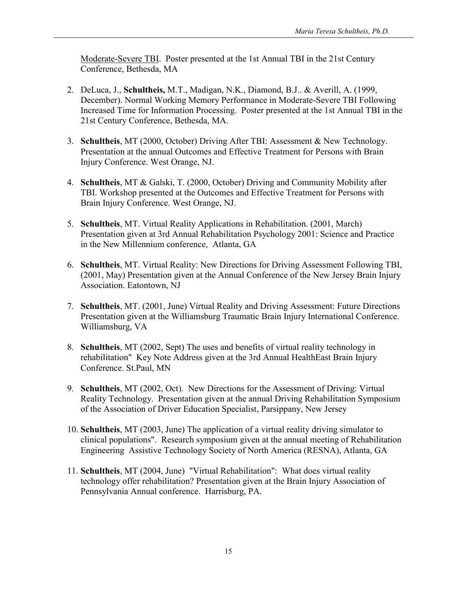Moderate-Severe TBI. Poster presented at the 1st Annual TBI in the 21st Century Conference, Bethesda, MA

- 2. DeLuca, J., **Schultheis,** M.T., Madigan, N.K., Diamond, B.J.. & Averill, A. (1999, December). Normal Working Memory Performance in Moderate-Severe TBI Following Increased Time for Information Processing. Poster presented at the 1st Annual TBI in the 21st Century Conference, Bethesda, MA.
- 3. **Schultheis**, MT (2000, October) Driving After TBI: Assessment & New Technology. Presentation at the annual Outcomes and Effective Treatment for Persons with Brain Injury Conference. West Orange, NJ.
- 4. **Schultheis**, MT & Galski, T. (2000, October) Driving and Community Mobility after TBI. Workshop presented at the Outcomes and Effective Treatment for Persons with Brain Injury Conference. West Orange, NJ.
- 5. **Schultheis**, MT. Virtual Reality Applications in Rehabilitation. (2001, March) Presentation given at 3rd Annual Rehabilitation Psychology 2001: Science and Practice in the New Millennium conference, Atlanta, GA
- 6. **Schultheis**, MT. Virtual Reality: New Directions for Driving Assessment Following TBI, (2001, May) Presentation given at the Annual Conference of the New Jersey Brain Injury Association. Eatontown, NJ
- 7. **Schultheis**, MT. (2001, June) Virtual Reality and Driving Assessment: Future Directions Presentation given at the Williamsburg Traumatic Brain Injury International Conference. Williamsburg, VA
- 8. **Schultheis**, MT (2002, Sept) The uses and benefits of virtual reality technology in rehabilitation" Key Note Address given at the 3rd Annual HealthEast Brain Injury Conference. St.Paul, MN
- 9. **Schultheis**, MT (2002, Oct). New Directions for the Assessment of Driving: Virtual Reality Technology. Presentation given at the annual Driving Rehabilitation Symposium of the Association of Driver Education Specialist, Parsippany, New Jersey
- 10. **Schultheis**, MT (2003, June) The application of a virtual reality driving simulator to clinical populations". Research symposium given at the annual meeting of Rehabilitation Engineering Assistive Technology Society of North America (RESNA), Atlanta, GA
- 11. **Schultheis**, MT (2004, June) "Virtual Rehabilitation": What does virtual reality technology offer rehabilitation? Presentation given at the Brain Injury Association of Pennsylvania Annual conference. Harrisburg, PA.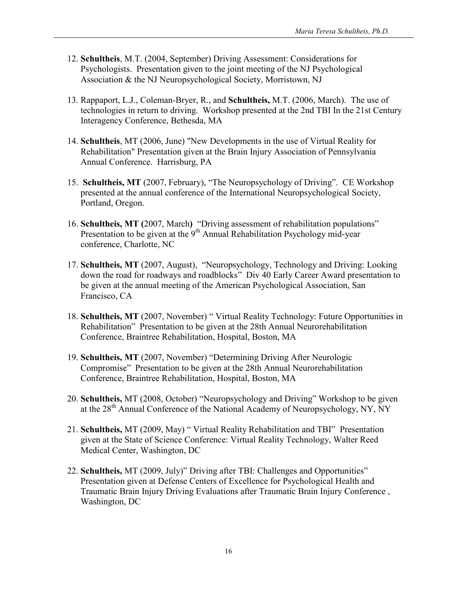- 12. **Schultheis**, M.T. (2004, September) Driving Assessment: Considerations for Psychologists. Presentation given to the joint meeting of the NJ Psychological Association & the NJ Neuropsychological Society, Morristown, NJ
- 13. Rappaport, L.J., Coleman-Bryer, R., and **Schultheis,** M.T. (2006, March). The use of technologies in return to driving. Workshop presented at the 2nd TBI In the 21st Century Interagency Conference, Bethesda, MA
- 14. **Schultheis**, MT (2006, June) "New Developments in the use of Virtual Reality for Rehabilitation" Presentation given at the Brain Injury Association of Pennsylvania Annual Conference. Harrisburg, PA
- 15. **Schultheis, MT** (2007, February), "The Neuropsychology of Driving". CE Workshop presented at the annual conference of the International Neuropsychological Society, Portland, Oregon.
- 16. **Schultheis, MT (**2007, March**)** "Driving assessment of rehabilitation populations" Presentation to be given at the  $9<sup>th</sup>$  Annual Rehabilitation Psychology mid-year conference, Charlotte, NC
- 17. **Schultheis, MT** (2007, August), "Neuropsychology, Technology and Driving: Looking down the road for roadways and roadblocks" Div 40 Early Career Award presentation to be given at the annual meeting of the American Psychological Association, San Francisco, CA
- 18. **Schultheis, MT** (2007, November) " Virtual Reality Technology: Future Opportunities in Rehabilitation" Presentation to be given at the 28th Annual Neurorehabilitation Conference, Braintree Rehabilitation, Hospital, Boston, MA
- 19. **Schultheis, MT** (2007, November) "Determining Driving After Neurologic Compromise" Presentation to be given at the 28th Annual Neurorehabilitation Conference, Braintree Rehabilitation, Hospital, Boston, MA
- 20. **Schultheis,** MT (2008, October) "Neuropsychology and Driving" Workshop to be given at the 28<sup>th</sup> Annual Conference of the National Academy of Neuropsychology, NY, NY
- 21. **Schultheis,** MT (2009, May) " Virtual Reality Rehabilitation and TBI" Presentation given at the State of Science Conference: Virtual Reality Technology, Walter Reed Medical Center, Washington, DC
- 22. **Schultheis,** MT (2009, July)" Driving after TBI: Challenges and Opportunities" Presentation given at Defense Centers of Excellence for Psychological Health and Traumatic Brain Injury Driving Evaluations after Traumatic Brain Injury Conference , Washington, DC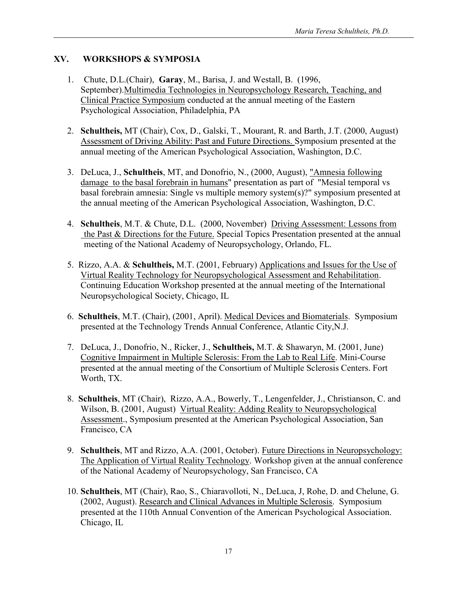## **XV. WORKSHOPS & SYMPOSIA**

- 1. Chute, D.L.(Chair), **Garay**, M., Barisa, J. and Westall, B. (1996, September).Multimedia Technologies in Neuropsychology Research, Teaching, and Clinical Practice Symposium conducted at the annual meeting of the Eastern Psychological Association, Philadelphia, PA
- 2. **Schultheis,** MT (Chair), Cox, D., Galski, T., Mourant, R. and Barth, J.T. (2000, August) Assessment of Driving Ability: Past and Future Directions. Symposium presented at the annual meeting of the American Psychological Association, Washington, D.C.
- 3. DeLuca, J., **Schultheis**, MT, and Donofrio, N., (2000, August), "Amnesia following damage to the basal forebrain in humans" presentation as part of "Mesial temporal vs basal forebrain amnesia: Single vs multiple memory system(s)?" symposium presented at the annual meeting of the American Psychological Association, Washington, D.C.
- 4. **Schultheis**, M.T. & Chute, D.L. (2000, November) Driving Assessment: Lessons from the Past & Directions for the Future. Special Topics Presentation presented at the annual meeting of the National Academy of Neuropsychology, Orlando, FL.
- 5. Rizzo, A.A. & **Schultheis,** M.T. (2001, February) Applications and Issues for the Use of Virtual Reality Technology for Neuropsychological Assessment and Rehabilitation. Continuing Education Workshop presented at the annual meeting of the International Neuropsychological Society, Chicago, IL
- 6. **Schultheis**, M.T. (Chair), (2001, April). Medical Devices and Biomaterials. Symposium presented at the Technology Trends Annual Conference, Atlantic City,N.J.
- 7. DeLuca, J., Donofrio, N., Ricker, J., **Schultheis,** M.T. & Shawaryn, M. (2001, June) Cognitive Impairment in Multiple Sclerosis: From the Lab to Real Life. Mini-Course presented at the annual meeting of the Consortium of Multiple Sclerosis Centers. Fort Worth, TX.
- 8. **Schultheis**, MT (Chair), Rizzo, A.A., Bowerly, T., Lengenfelder, J., Christianson, C. and Wilson, B. (2001, August) Virtual Reality: Adding Reality to Neuropsychological Assessment., Symposium presented at the American Psychological Association, San Francisco, CA
- 9. **Schultheis**, MT and Rizzo, A.A. (2001, October). Future Directions in Neuropsychology: The Application of Virtual Reality Technology. Workshop given at the annual conference of the National Academy of Neuropsychology, San Francisco, CA
- 10. **Schultheis**, MT (Chair), Rao, S., Chiaravolloti, N., DeLuca, J, Rohe, D. and Chelune, G. (2002, August). Research and Clinical Advances in Multiple Sclerosis. Symposium presented at the 110th Annual Convention of the American Psychological Association. Chicago, IL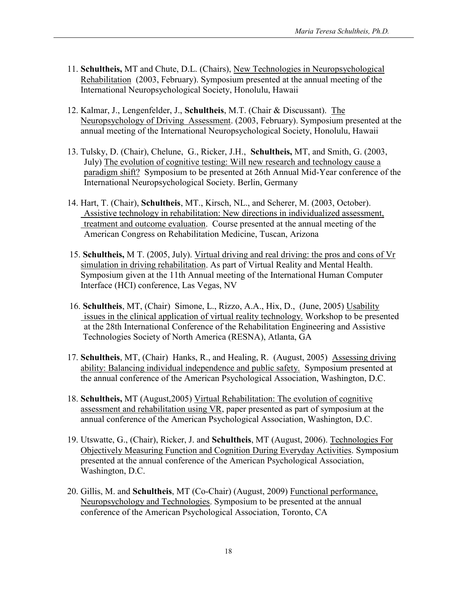- 11. **Schultheis,** MT and Chute, D.L. (Chairs), New Technologies in Neuropsychological Rehabilitation (2003, February). Symposium presented at the annual meeting of the International Neuropsychological Society, Honolulu, Hawaii
- 12. Kalmar, J., Lengenfelder, J., **Schultheis**, M.T. (Chair & Discussant). The Neuropsychology of Driving Assessment. (2003, February). Symposium presented at the annual meeting of the International Neuropsychological Society, Honolulu, Hawaii
- 13. Tulsky, D. (Chair), Chelune, G., Ricker, J.H., **Schultheis,** MT, and Smith, G. (2003, July) The evolution of cognitive testing: Will new research and technology cause a paradigm shift? Symposium to be presented at 26th Annual Mid-Year conference of the International Neuropsychological Society. Berlin, Germany
- 14. Hart, T. (Chair), **Schultheis**, MT., Kirsch, NL., and Scherer, M. (2003, October). Assistive technology in rehabilitation: New directions in individualized assessment, treatment and outcome evaluation. Course presented at the annual meeting of the American Congress on Rehabilitation Medicine, Tuscan, Arizona
- 15. **Schultheis,** M T. (2005, July). Virtual driving and real driving: the pros and cons of Vr simulation in driving rehabilitation. As part of Virtual Reality and Mental Health. Symposium given at the 11th Annual meeting of the International Human Computer Interface (HCI) conference, Las Vegas, NV
- 16. **Schultheis**, MT, (Chair) Simone, L., Rizzo, A.A., Hix, D., (June, 2005) Usability issues in the clinical application of virtual reality technology. Workshop to be presented at the 28th International Conference of the Rehabilitation Engineering and Assistive Technologies Society of North America (RESNA), Atlanta, GA
- 17. **Schultheis**, MT, (Chair) Hanks, R., and Healing, R. (August, 2005) Assessing driving ability: Balancing individual independence and public safety. Symposium presented at the annual conference of the American Psychological Association, Washington, D.C.
- 18. **Schultheis,** MT (August,2005) Virtual Rehabilitation: The evolution of cognitive assessment and rehabilitation using VR, paper presented as part of symposium at the annual conference of the American Psychological Association, Washington, D.C.
- 19. Utswatte, G., (Chair), Ricker, J. and **Schultheis**, MT (August, 2006). Technologies For Objectively Measuring Function and Cognition During Everyday Activities. Symposium presented at the annual conference of the American Psychological Association, Washington, D.C.
- 20. Gillis, M. and **Schultheis**, MT (Co-Chair) (August, 2009) Functional performance, Neuropsychology and Technologies. Symposium to be presented at the annual conference of the American Psychological Association, Toronto, CA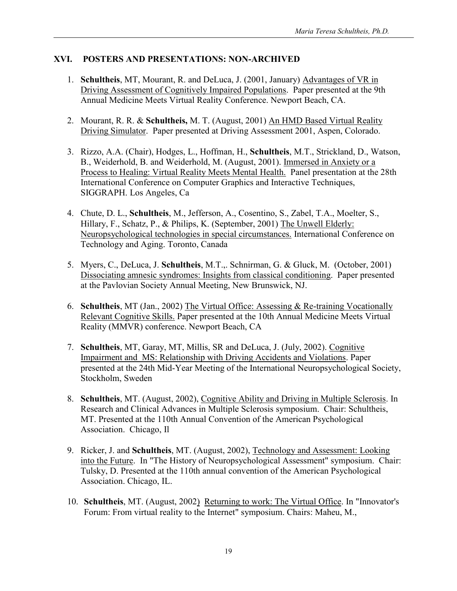## **XVI. POSTERS AND PRESENTATIONS: NON-ARCHIVED**

- 1. **Schultheis**, MT, Mourant, R. and DeLuca, J. (2001, January) Advantages of VR in Driving Assessment of Cognitively Impaired Populations. Paper presented at the 9th Annual Medicine Meets Virtual Reality Conference. Newport Beach, CA.
- 2. Mourant, R. R. & **Schultheis,** M. T. (August, 2001) An HMD Based Virtual Reality Driving Simulator. Paper presented at Driving Assessment 2001, Aspen, Colorado.
- 3. Rizzo, A.A. (Chair), Hodges, L., Hoffman, H., **Schultheis**, M.T., Strickland, D., Watson, B., Weiderhold, B. and Weiderhold, M. (August, 2001). Immersed in Anxiety or a Process to Healing: Virtual Reality Meets Mental Health. Panel presentation at the 28th International Conference on Computer Graphics and Interactive Techniques, SIGGRAPH. Los Angeles, Ca
- 4. Chute, D. L., **Schultheis**, M., Jefferson, A., Cosentino, S., Zabel, T.A., Moelter, S., Hillary, F., Schatz, P., & Philips, K. (September, 2001) The Unwell Elderly: Neuropsychological technologies in special circumstances. International Conference on Technology and Aging. Toronto, Canada
- 5. Myers, C., DeLuca, J. **Schultheis**, M.T.,. Schnirman, G. & Gluck, M. (October, 2001) Dissociating amnesic syndromes: Insights from classical conditioning. Paper presented at the Pavlovian Society Annual Meeting, New Brunswick, NJ.
- 6. **Schultheis**, MT (Jan., 2002) The Virtual Office: Assessing & Re-training Vocationally Relevant Cognitive Skills. Paper presented at the 10th Annual Medicine Meets Virtual Reality (MMVR) conference. Newport Beach, CA
- 7. **Schultheis**, MT, Garay, MT, Millis, SR and DeLuca, J. (July, 2002). Cognitive Impairment and MS: Relationship with Driving Accidents and Violations. Paper presented at the 24th Mid-Year Meeting of the International Neuropsychological Society, Stockholm, Sweden
- 8. **Schultheis**, MT. (August, 2002), Cognitive Ability and Driving in Multiple Sclerosis. In Research and Clinical Advances in Multiple Sclerosis symposium. Chair: Schultheis, MT. Presented at the 110th Annual Convention of the American Psychological Association. Chicago, Il
- 9. Ricker, J. and **Schultheis**, MT. (August, 2002), Technology and Assessment: Looking into the Future. In "The History of Neuropsychological Assessment" symposium. Chair: Tulsky, D. Presented at the 110th annual convention of the American Psychological Association. Chicago, IL.
- 10. **Schultheis**, MT. (August, 2002) Returning to work: The Virtual Office. In "Innovator's Forum: From virtual reality to the Internet" symposium. Chairs: Maheu, M.,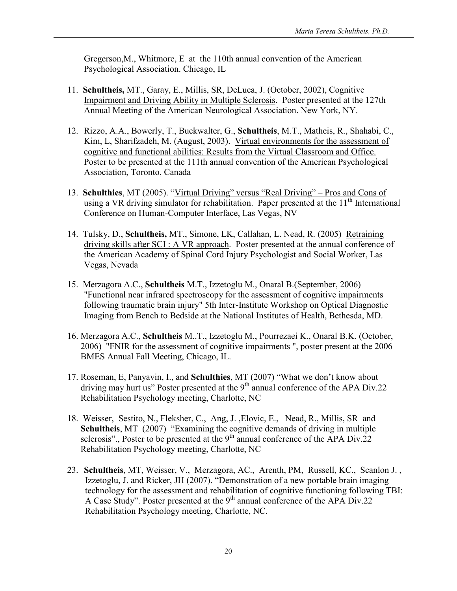Gregerson,M., Whitmore, E at the 110th annual convention of the American Psychological Association. Chicago, IL

- 11. **Schultheis,** MT., Garay, E., Millis, SR, DeLuca, J. (October, 2002), Cognitive Impairment and Driving Ability in Multiple Sclerosis. Poster presented at the 127th Annual Meeting of the American Neurological Association. New York, NY.
- 12. Rizzo, A.A., Bowerly, T., Buckwalter, G., **Schultheis**, M.T., Matheis, R., Shahabi, C., Kim, L, Sharifzadeh, M. (August, 2003). Virtual environments for the assessment of cognitive and functional abilities: Results from the Virtual Classroom and Office. Poster to be presented at the 111th annual convention of the American Psychological Association, Toronto, Canada
- 13. **Schulthies**, MT (2005). "Virtual Driving" versus "Real Driving" Pros and Cons of using a VR driving simulator for rehabilitation. Paper presented at the  $11<sup>th</sup>$  International Conference on Human-Computer Interface, Las Vegas, NV
- 14. Tulsky, D., **Schultheis,** MT., Simone, LK, Callahan, L. Nead, R. (2005) Retraining driving skills after SCI : A VR approach. Poster presented at the annual conference of the American Academy of Spinal Cord Injury Psychologist and Social Worker, Las Vegas, Nevada
- 15. Merzagora A.C., **Schultheis** M.T., Izzetoglu M., Onaral B.(September, 2006) "Functional near infrared spectroscopy for the assessment of cognitive impairments following traumatic brain injury" 5th Inter-Institute Workshop on Optical Diagnostic Imaging from Bench to Bedside at the National Institutes of Health, Bethesda, MD.
- 16. Merzagora A.C., **Schultheis** M..T., Izzetoglu M., Pourrezaei K., Onaral B.K. (October, 2006) "FNIR for the assessment of cognitive impairments ", poster present at the 2006 BMES Annual Fall Meeting, Chicago, IL.
- 17. Roseman, E, Panyavin, I., and **Schulthies**, MT (2007) "What we don't know about driving may hurt us" Poster presented at the 9<sup>th</sup> annual conference of the APA Div.22 Rehabilitation Psychology meeting, Charlotte, NC
- 18. Weisser, Sestito, N., Fleksher, C., Ang, J. ,Elovic, E., Nead, R., Millis, SR and **Schultheis**, MT (2007) "Examining the cognitive demands of driving in multiple sclerosis"., Poster to be presented at the  $9<sup>th</sup>$  annual conference of the APA Div.22 Rehabilitation Psychology meeting, Charlotte, NC
- 23. **Schultheis**, MT, Weisser, V., Merzagora, AC., Arenth, PM, Russell, KC., Scanlon J. , Izzetoglu, J. and Ricker, JH (2007). "Demonstration of a new portable brain imaging technology for the assessment and rehabilitation of cognitive functioning following TBI: A Case Study". Poster presented at the  $9<sup>th</sup>$  annual conference of the APA Div.22 Rehabilitation Psychology meeting, Charlotte, NC.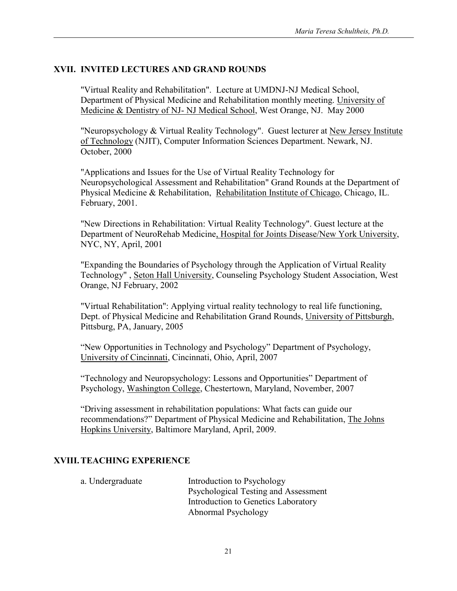## **XVII. INVITED LECTURES AND GRAND ROUNDS**

"Virtual Reality and Rehabilitation". Lecture at UMDNJ-NJ Medical School, Department of Physical Medicine and Rehabilitation monthly meeting. University of Medicine & Dentistry of NJ- NJ Medical School, West Orange, NJ. May 2000

"Neuropsychology & Virtual Reality Technology". Guest lecturer at New Jersey Institute of Technology (NJIT), Computer Information Sciences Department. Newark, NJ. October, 2000

"Applications and Issues for the Use of Virtual Reality Technology for Neuropsychological Assessment and Rehabilitation" Grand Rounds at the Department of Physical Medicine & Rehabilitation, Rehabilitation Institute of Chicago, Chicago, IL. February, 2001.

"New Directions in Rehabilitation: Virtual Reality Technology". Guest lecture at the Department of NeuroRehab Medicine, Hospital for Joints Disease/New York University, NYC, NY, April, 2001

"Expanding the Boundaries of Psychology through the Application of Virtual Reality Technology" , Seton Hall University, Counseling Psychology Student Association, West Orange, NJ February, 2002

"Virtual Rehabilitation": Applying virtual reality technology to real life functioning, Dept. of Physical Medicine and Rehabilitation Grand Rounds, University of Pittsburgh, Pittsburg, PA, January, 2005

"New Opportunities in Technology and Psychology" Department of Psychology, University of Cincinnati, Cincinnati, Ohio, April, 2007

"Technology and Neuropsychology: Lessons and Opportunities" Department of Psychology, Washington College, Chestertown, Maryland, November, 2007

"Driving assessment in rehabilitation populations: What facts can guide our recommendations?" Department of Physical Medicine and Rehabilitation, The Johns Hopkins University, Baltimore Maryland, April, 2009.

### **XVIII.TEACHING EXPERIENCE**

| a. Undergraduate | Introduction to Psychology           |
|------------------|--------------------------------------|
|                  | Psychological Testing and Assessment |
|                  | Introduction to Genetics Laboratory  |
|                  | Abnormal Psychology                  |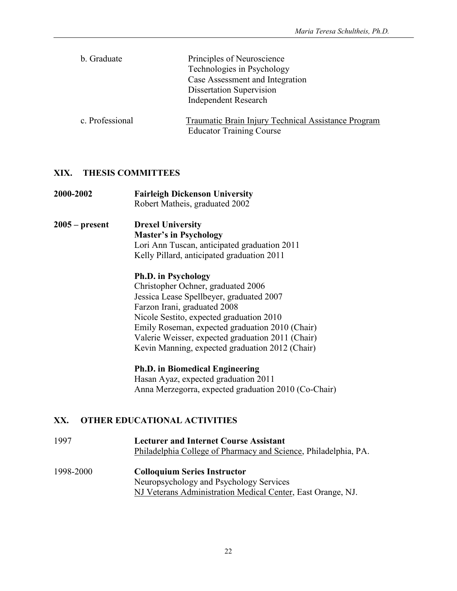| b. Graduate     | Principles of Neuroscience<br>Technologies in Psychology<br>Case Assessment and Integration<br>Dissertation Supervision<br><b>Independent Research</b> |
|-----------------|--------------------------------------------------------------------------------------------------------------------------------------------------------|
| c. Professional | Traumatic Brain Injury Technical Assistance Program<br><b>Educator Training Course</b>                                                                 |

## **XIX. THESIS COMMITTEES**

| 2000-2002        | <b>Fairleigh Dickenson University</b><br>Robert Matheis, graduated 2002 |
|------------------|-------------------------------------------------------------------------|
| $2005 - present$ | <b>Drexel University</b>                                                |
|                  | <b>Master's in Psychology</b>                                           |
|                  | Lori Ann Tuscan, anticipated graduation 2011                            |
|                  | Kelly Pillard, anticipated graduation 2011                              |
|                  | <b>Ph.D. in Psychology</b>                                              |
|                  | Christopher Ochner, graduated 2006                                      |
|                  | Jessica Lease Spellbeyer, graduated 2007                                |
|                  | Farzon Irani, graduated 2008                                            |
|                  | Nicole Sestito, expected graduation 2010                                |
|                  | Emily Roseman, expected graduation 2010 (Chair)                         |
|                  | Valerie Weisser, expected graduation 2011 (Chair)                       |
|                  | Kevin Manning, expected graduation 2012 (Chair)                         |
|                  | <b>Ph.D. in Biomedical Engineering</b>                                  |
|                  | Hasan Ayaz, expected graduation 2011                                    |
|                  | Anna Merzegorra, expected graduation 2010 (Co-Chair)                    |
| XX.              | <b>OTHER EDUCATIONAL ACTIVITIES</b>                                     |
| 1997             | <b>Lecturer and Internet Course Assistant</b>                           |
|                  | Philadelphia College of Pharmacy and Science, Philadelphia, PA.         |

1998-2000 **Colloquium Series Instructor** Neuropsychology and Psychology Services NJ Veterans Administration Medical Center, East Orange, NJ.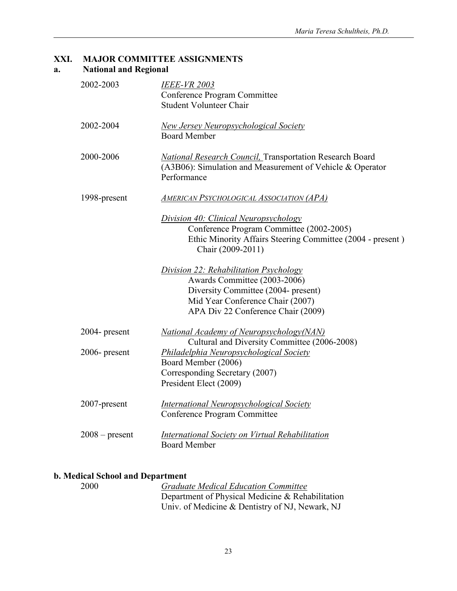### **XXI. MAJOR COMMITTEE ASSIGNMENTS a. National and Regional**

| 2002-2003        | <b>IEEE-VR 2003</b><br>Conference Program Committee<br><b>Student Volunteer Chair</b>                                                                                                   |
|------------------|-----------------------------------------------------------------------------------------------------------------------------------------------------------------------------------------|
| 2002-2004        | <b>New Jersey Neuropsychological Society</b><br><b>Board Member</b>                                                                                                                     |
| 2000-2006        | <b>National Research Council, Transportation Research Board</b><br>(A3B06): Simulation and Measurement of Vehicle & Operator<br>Performance                                             |
| 1998-present     | <b>AMERICAN PSYCHOLOGICAL ASSOCIATION (APA)</b>                                                                                                                                         |
|                  | Division 40: Clinical Neuropsychology<br>Conference Program Committee (2002-2005)<br>Ethic Minority Affairs Steering Committee (2004 - present)<br>Chair (2009-2011)                    |
|                  | Division 22: Rehabilitation Psychology<br>Awards Committee (2003-2006)<br>Diversity Committee (2004- present)<br>Mid Year Conference Chair (2007)<br>APA Div 22 Conference Chair (2009) |
| 2004- present    | National Academy of Neuropsychology(NAN)<br>Cultural and Diversity Committee (2006-2008)                                                                                                |
| $2006$ - present | <b>Philadelphia Neuropsychological Society</b><br>Board Member (2006)<br>Corresponding Secretary (2007)<br>President Elect (2009)                                                       |
| 2007-present     | <b>International Neuropsychological Society</b><br>Conference Program Committee                                                                                                         |
| $2008 - present$ | <b>International Society on Virtual Rehabilitation</b><br><b>Board Member</b>                                                                                                           |

## **b. Medical School and Department**

| 2000 | <b>Graduate Medical Education Committee</b>      |
|------|--------------------------------------------------|
|      | Department of Physical Medicine & Rehabilitation |
|      | Univ. of Medicine & Dentistry of NJ, Newark, NJ  |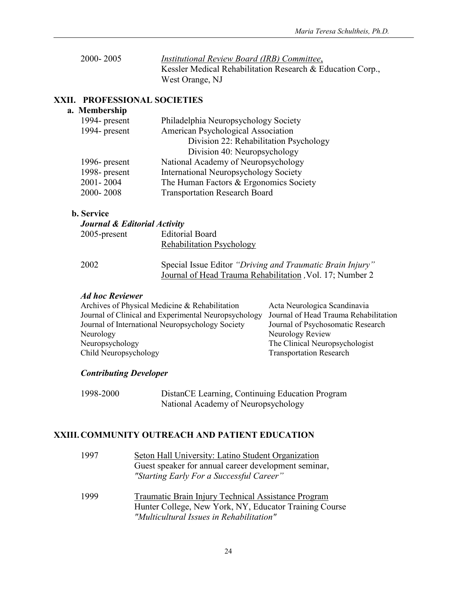| 2000-2005 | Institutional Review Board (IRB) Committee,                |
|-----------|------------------------------------------------------------|
|           | Kessler Medical Rehabilitation Research & Education Corp., |
|           | West Orange, NJ                                            |

### **XXII. PROFESSIONAL SOCIETIES**

### **a. Membership**

| 1994- present | Philadelphia Neuropsychology Society         |
|---------------|----------------------------------------------|
| 1994- present | American Psychological Association           |
|               | Division 22: Rehabilitation Psychology       |
|               | Division 40: Neuropsychology                 |
| 1996- present | National Academy of Neuropsychology          |
| 1998-present  | <b>International Neuropsychology Society</b> |
| 2001-2004     | The Human Factors & Ergonomics Society       |
| 2000-2008     | <b>Transportation Research Board</b>         |
|               |                                              |

#### **b. Service**

| <b>Journal &amp; Editorial Activity</b> |                                                                                                                       |
|-----------------------------------------|-----------------------------------------------------------------------------------------------------------------------|
| $2005$ -present                         | <b>Editorial Board</b>                                                                                                |
|                                         | <b>Rehabilitation Psychology</b>                                                                                      |
| 2002                                    | Special Issue Editor "Driving and Traumatic Brain Injury"<br>Journal of Head Trauma Rehabilitation, Vol. 17; Number 2 |

#### *Ad hoc Reviewer*

| Archives of Physical Medicine & Rehabilitation       | Acta Neurologica Scandinavia          |
|------------------------------------------------------|---------------------------------------|
| Journal of Clinical and Experimental Neuropsychology | Journal of Head Trauma Rehabilitation |
| Journal of International Neuropsychology Society     | Journal of Psychosomatic Research     |
| Neurology                                            | Neurology Review                      |
| Neuropsychology                                      | The Clinical Neuropsychologist        |
| Child Neuropsychology                                | <b>Transportation Research</b>        |
|                                                      |                                       |

### *Contributing Developer*

| 1998-2000 | DistanCE Learning, Continuing Education Program |
|-----------|-------------------------------------------------|
|           | National Academy of Neuropsychology             |

## **XXIII.COMMUNITY OUTREACH AND PATIENT EDUCATION**

| 1997 | Seton Hall University: Latino Student Organization<br>Guest speaker for annual career development seminar,<br>"Starting Early For a Successful Career"    |
|------|-----------------------------------------------------------------------------------------------------------------------------------------------------------|
| 1999 | Traumatic Brain Injury Technical Assistance Program<br>Hunter College, New York, NY, Educator Training Course<br>"Multicultural Issues in Rehabilitation" |